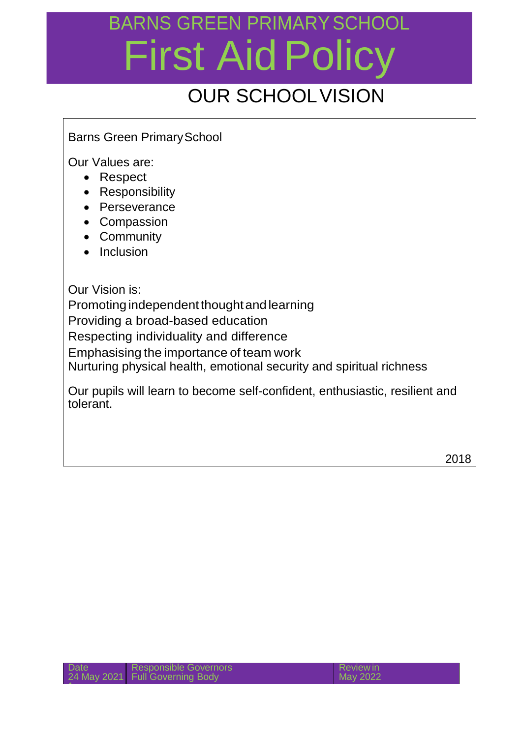#### OUR SCHOOLVISION

#### Barns Green PrimarySchool

Our Values are:

- Respect
- Responsibility
- Perseverance
- Compassion
- Community
- Inclusion

Our Vision is:

Promoting independent thought and learning

Providing a broad-based education

Respecting individuality and difference

Emphasising the importance of team work

Nurturing physical health, emotional security and spiritual richness

Our pupils will learn to become self-confident, enthusiastic, resilient and tolerant.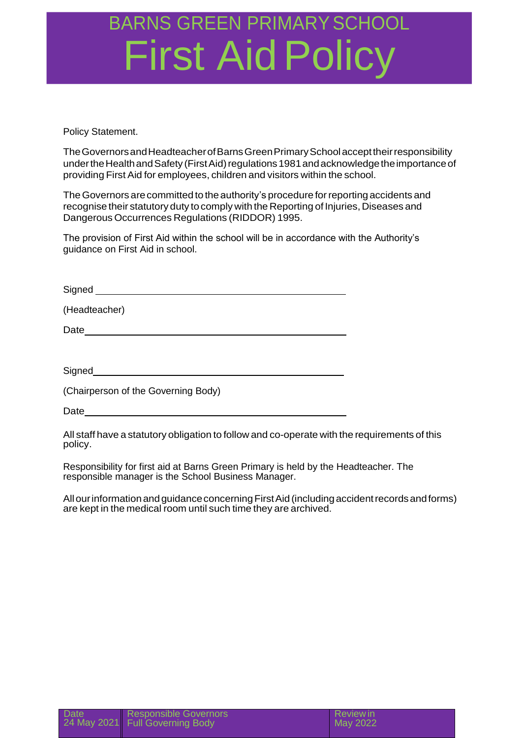Policy Statement.

TheGovernorsandHeadteacherofBarnsGreenPrimarySchoolaccepttheirresponsibility under the Health and Safety (First Aid) regulations 1981 and acknowledge the importance of providing First Aid for employees, children and visitors within the school.

The Governors are committed to the authority's procedure for reporting accidents and recognise their statutory duty to comply with the Reporting of Injuries, Diseases and Dangerous Occurrences Regulations (RIDDOR) 1995.

The provision of First Aid within the school will be in accordance with the Authority's guidance on First Aid in school.

Signed **Signed** 

(Headteacher)

Date **Date** 

**Signed Signed** 

(Chairperson of the Governing Body)

Date and the set of the set of the set of the set of the set of the set of the set of the set of the set of the set of the set of the set of the set of the set of the set of the set of the set of the set of the set of the

All staff have a statutory obligation to follow and co-operate with the requirements of this policy.

Responsibility for first aid at Barns Green Primary is held by the Headteacher. The responsible manager is the School Business Manager.

All our information and guidance concerning First Aid (including accident records and forms) are kept in the medical room until such time they are archived.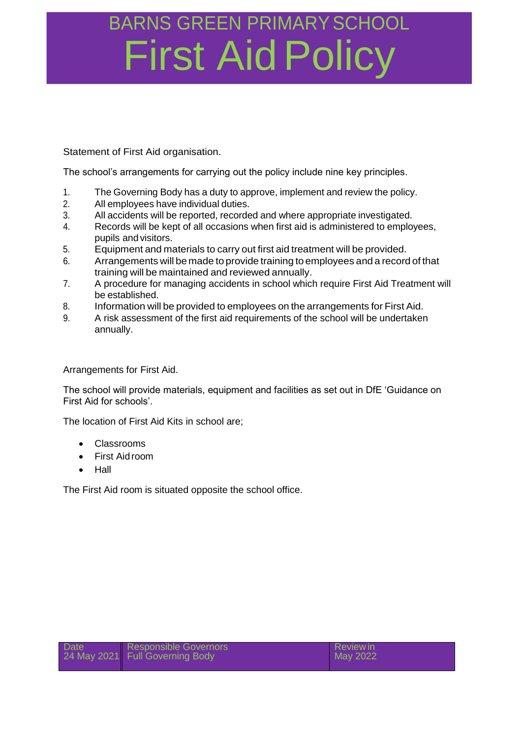Statement of First Aid organisation.

The school's arrangements for carrying out the policy include nine key principles.

- 1. The Governing Body has a duty to approve, implement and review the policy.
- 2. All employees have individual duties.
- 3. All accidents will be reported, recorded and where appropriate investigated.
- 4. Records will be kept of all occasions when first aid is administered to employees, pupils and visitors.
- 5. Equipment and materials to carry out first aid treatment will be provided.
- 6. Arrangements will be made to provide training to employees and a record of that training will be maintained and reviewed annually.
- 7. A procedure for managing accidents in school which require First Aid Treatment will be established.
- 8. Information will be provided to employees on the arrangements for First Aid.
- 9. A risk assessment of the first aid requirements of the school will be undertaken annually.

Arrangements for First Aid.

The school will provide materials, equipment and facilities as set out in DfE 'Guidance on First Aid for schools'.

The location of First Aid Kits in school are;

- Classrooms
- First Aid room
- Hall

The First Aid room is situated opposite the school office.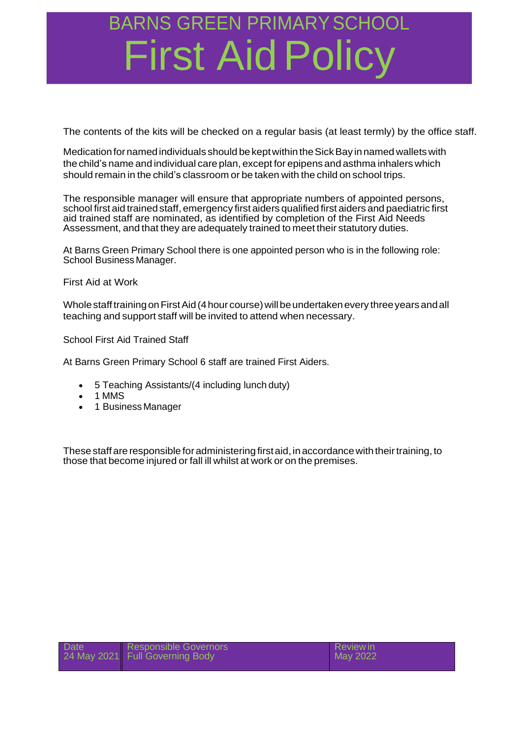The contents of the kits will be checked on a regular basis (at least termly) by the office staff.

Medication for named individuals should be kept within the Sick Bay in named wallets with the child's name and individual care plan, except for epipens and asthma inhalers which should remain in the child's classroom or be taken with the child on school trips.

The responsible manager will ensure that appropriate numbers of appointed persons, school first aid trained staff, emergency first aiders qualified first aiders and paediatric first aid trained staff are nominated, as identified by completion of the First Aid Needs Assessment, and that they are adequately trained to meet their statutory duties.

At Barns Green Primary School there is one appointed person who is in the following role: School Business Manager.

First Aid at Work

Whole staff training on First Aid (4 hour course) will be undertaken every three years and all teaching and support staff will be invited to attend when necessary.

School First Aid Trained Staff

At Barns Green Primary School 6 staff are trained First Aiders.

- 5 Teaching Assistants/(4 including lunch duty)
- 1 MMS
- 1 Business Manager

These staff are responsible for administering first aid, in accordance with their training, to those that become injured or fall ill whilst at work or on the premises.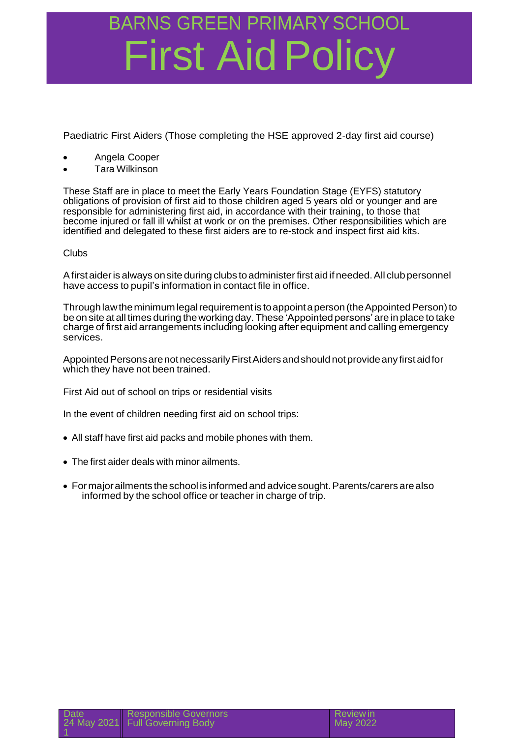Paediatric First Aiders (Those completing the HSE approved 2-day first aid course)

- Angela Cooper
- Tara Wilkinson

These Staff are in place to meet the Early Years Foundation Stage (EYFS) statutory obligations of provision of first aid to those children aged 5 years old or younger and are responsible for administering first aid, in accordance with their training, to those that become injured or fall ill whilst at work or on the premises. Other responsibilities which are identified and delegated to these first aiders are to re-stock and inspect first aid kits.

#### Clubs

A first aider is always on site during clubs to administer first aid if needed. All club personnel have access to pupil's information in contact file in office.

Through law the minimum legal requirement is to appoint a person (the Appointed Person) to be on site at all times during theworking day.These 'Appointed persons' are in place to take charge of first aid arrangements including looking after equipment and calling emergency services.

Appointed Persons are not necessarily First Aiders and should not provide any first aid for which they have not been trained.

First Aid out of school on trips or residential visits

In the event of children needing first aid on school trips:

- All staff have first aid packs and mobile phones with them.
- The first aider deals with minor ailments.
- For major ailments the school is informed and advice sought. Parents/carers are also informed by the school office or teacher in charge of trip.

eview in ay 2022

| <b>Date</b> | Responsible Governors           | $\overline{\mathsf{R}}$ |
|-------------|---------------------------------|-------------------------|
|             | 24 May 2021 Full Governing Body | M                       |
|             |                                 |                         |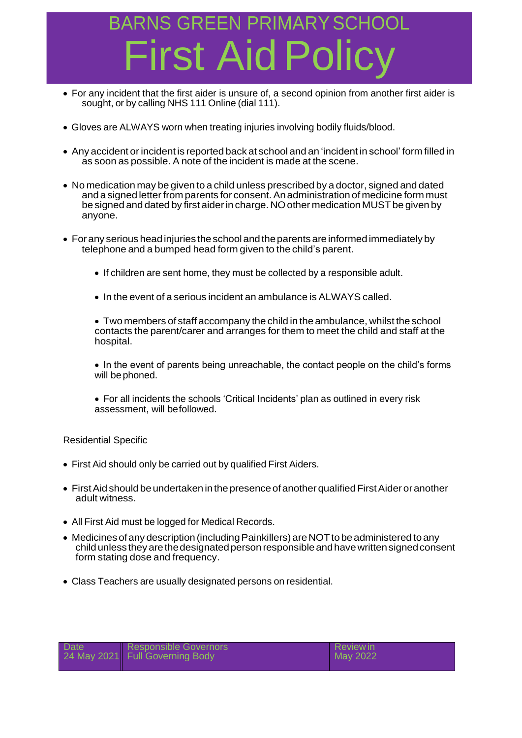## BARNS GREEN PRIMARY SO irst Aid P

- For any incident that the first aider is unsure of, a second opinion from another first aider is sought, or by calling NHS 111 Online (dial 111).
- Gloves are ALWAYS worn when treating injuries involving bodily fluids/blood.
- Any accident orincident is reported back at school and an 'incident in school' form filled in as soon as possible. A note of the incident is made at the scene.
- No medication may be given to a child unless prescribed by a doctor, signed and dated and a signed letter from parents for consent.Anadministration of medicine form must be signed and dated by first aider in charge. NO other medication MUST be given by anyone.
- Forany serious headinjuries theschooland theparents areinformedimmediatelyby telephone and a bumped head form given to the child's parent.
	- If children are sent home, they must be collected by a responsible adult.
	- In the event of a serious incident an ambulance is ALWAYS called.

 Two members of staff accompany the child in the ambulance, whilst the school contacts the parent/carer and arranges for them to meet the child and staff at the hospital.

• In the event of parents being unreachable, the contact people on the child's forms will be phoned.

 For all incidents the schools 'Critical Incidents' plan as outlined in every risk assessment, will befollowed.

Residential Specific

- First Aid should only be carried out by qualified First Aiders.
- First Aid should be undertaken in the presence of another qualified First Aider or another adult witness.
- All First Aid must be logged for Medical Records.
- Medicines of any description (including Painkillers) are NOT to be administered to any childunless they arethedesignatedperson responsibleandhavewrittensignedconsent form stating dose and frequency.
- Class Teachers are usually designated persons on residential.

| <b>Date</b> | Responsible Governors<br>24 May 2021 Full Governing Body | <b>Reviewin</b><br>May 2022 |
|-------------|----------------------------------------------------------|-----------------------------|
|             |                                                          |                             |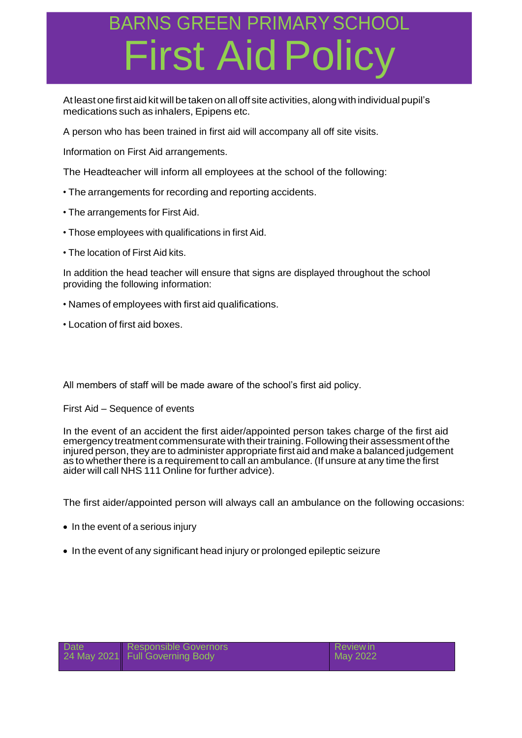At least one firstaid kitwill be taken on all off site activities, along with individual pupil's medications such as inhalers, Epipens etc.

A person who has been trained in first aid will accompany all off site visits.

Information on First Aid arrangements.

The Headteacher will inform all employees at the school of the following:

- The arrangements for recording and reporting accidents.
- The arrangements for First Aid.
- Those employees with qualifications in first Aid.
- The location of First Aid kits.

In addition the head teacher will ensure that signs are displayed throughout the school providing the following information:

- Names of employees with first aid qualifications.
- Location of first aid boxes.

All members of staff will be made aware of the school's first aid policy.

First Aid – Sequence of events

In the event of an accident the first aider/appointed person takes charge of the first aid emergency treatment commensurate with their training. Following their assessment of the injured person, they are to administer appropriate first aid and make a balanced judgement as to whether there is a requirement to call an ambulance. (If unsure at any time the first aider will call NHS 111 Online for further advice).

The first aider/appointed person will always call an ambulance on the following occasions:

- $\bullet$  In the event of a serious injury
- In the event of any significant head injury or prolonged epileptic seizure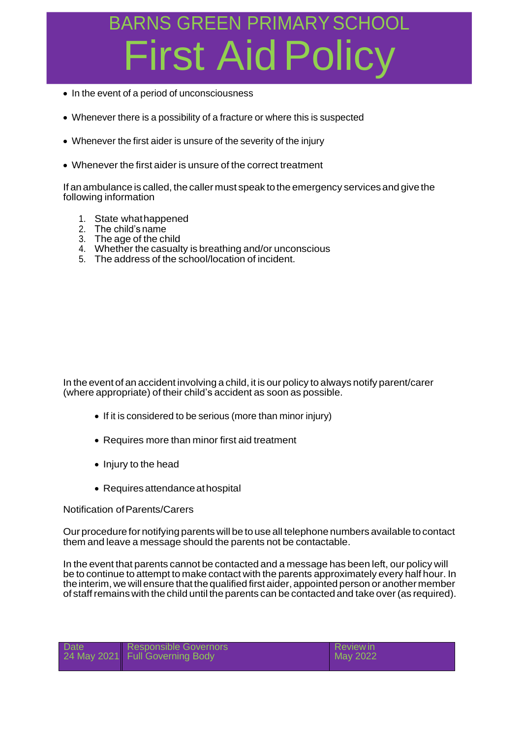- In the event of a period of unconsciousness
- Whenever there is a possibility of a fracture or where this is suspected
- Whenever the first aider is unsure of the severity of the injury
- Whenever the first aider is unsure of the correct treatment

If anambulance is called, the callermust speak tothe emergency servicesand give the following information

- 1. State whathappened
- 2. The child's name
- 3. The age of the child
- 4. Whether the casualty is breathing and/or unconscious
- 5. The address of the school/location of incident.

In the event of an accident involving a child, it is our policy to always notify parent/carer (where appropriate) of their child's accident as soon as possible.

- If it is considered to be serious (more than minor injury)
- Requires more than minor first aid treatment
- Injury to the head
- Requires attendance at hospital

#### Notification ofParents/Carers

Our procedure for notifying parents will betouse all telephone numbers available tocontact them and leave a message should the parents not be contactable.

In the event that parents cannot be contacted and a message has been left, our policy will be to continue to attempt to make contact with the parents approximately every half hour. In the interim, we will ensure that the qualified first aider, appointed person or another member of staffremains with the child until the parents can be contacted and take over(as required).

| <b>Date</b> | Responsible Governors<br>24 May 2021 Full Governing Body | Review in<br>May 2022 |  |
|-------------|----------------------------------------------------------|-----------------------|--|
|             |                                                          |                       |  |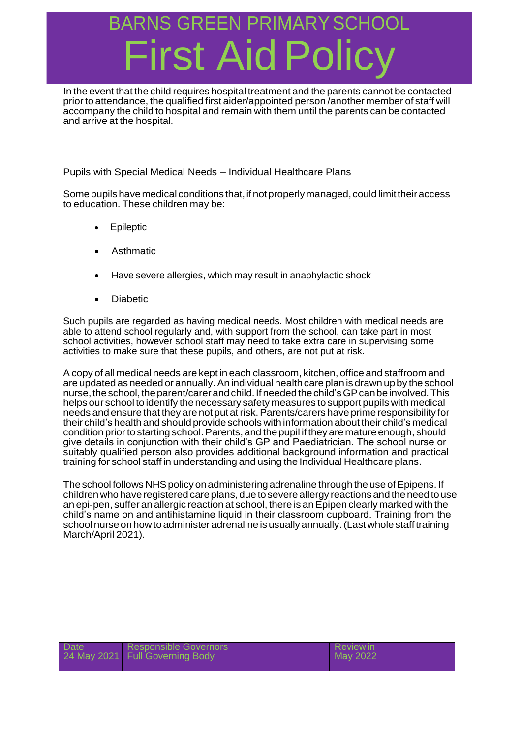#### BARNS GREEN PRIMARY SO **First Aid Pc**

In the event that the child requires hospital treatment and the parents cannot be contacted priorto attendance, the qualified first aider/appointed person /another member of staff will accompany the child to hospital and remain with them until the parents can be contacted and arrive at the hospital.

Pupils with Special Medical Needs – Individual Healthcare Plans

Some pupils have medical conditions that, if not properly managed, could limit their access to education. These children may be:

- Epileptic
- Asthmatic
- Have severe allergies, which may result in anaphylactic shock
- Diabetic

Such pupils are regarded as having medical needs. Most children with medical needs are able to attend school regularly and, with support from the school, can take part in most school activities, however school staff may need to take extra care in supervising some activities to make sure that these pupils, and others, are not put at risk.

A copy of all medical needs are kept in each classroom, kitchen, office and staffroom and are updated as needed or annually.An individual health care plan is drawn upby theschool nurse, the school, the parent/carer and child. If needed the child's GP can be involved. This helps our school to identify the necessary safety measures to support pupils with medical needs and ensure that they are not put at risk. Parents/carers have prime responsibility for their child's health and should provide schools with information about their child's medical condition priorto starting school.Parents, and the pupil if they are mature enough, should give details in conjunction with their child's GP and Paediatrician. The school nurse or suitably qualified person also provides additional background information and practical training for school staff in understanding and using the Individual Healthcare plans.

The school follows NHS policy on administering adrenaline through the use of Epipens. If children who have registered care plans, due to severe allergy reactions and the need to use an epi-pen, suffer an allergic reaction at school, there is anEpipen clearly marked with the child's name on and antihistamine liquid in their classroom cupboard. Training from the school nurse on how to administer adrenaline is usually annually. (Last whole staff training March/April 2021).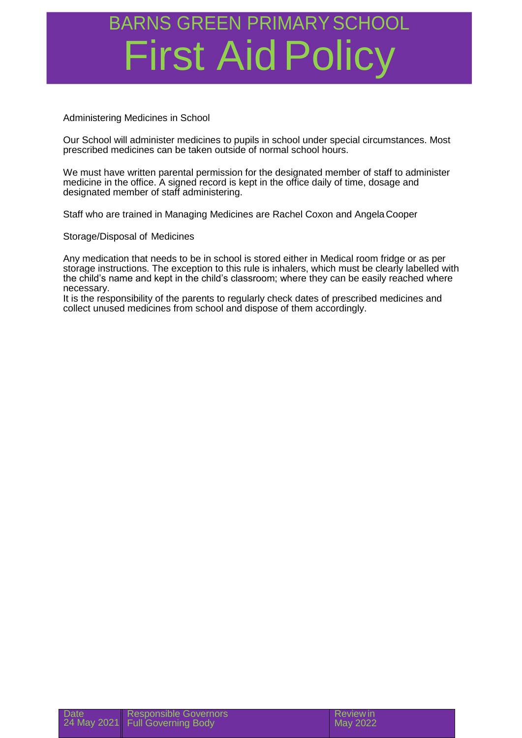Administering Medicines in School

Our School will administer medicines to pupils in school under special circumstances. Most prescribed medicines can be taken outside of normal school hours.

We must have written parental permission for the designated member of staff to administer medicine in the office. A signed record is kept in the office daily of time, dosage and designated member of staff administering.

Staff who are trained in Managing Medicines are Rachel Coxon and AngelaCooper

Storage/Disposal of Medicines

Any medication that needs to be in school is stored either in Medical room fridge or as per storage instructions. The exception to this rule is inhalers, which must be clearly labelled with the child's name and kept in the child's classroom; where they can be easily reached where necessary.

It is the responsibility of the parents to regularly check dates of prescribed medicines and collect unused medicines from school and dispose of them accordingly.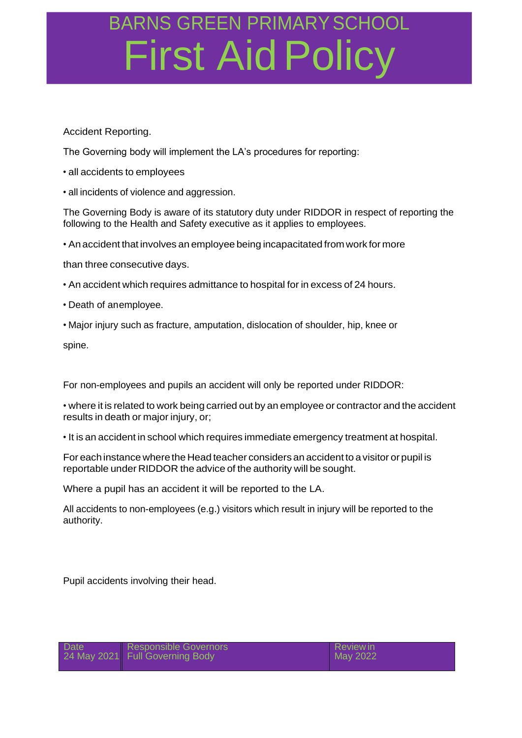#### Accident Reporting.

The Governing body will implement the LA's procedures for reporting:

- all accidents to employees
- all incidents of violence and aggression.

The Governing Body is aware of its statutory duty under RIDDOR in respect of reporting the following to the Health and Safety executive as it applies to employees.

• Anaccident that involves an employee being incapacitated from work for more

than three consecutive days.

- An accident which requires admittance to hospital for in excess of 24 hours.
- Death of anemployee.
- Major injury such as fracture, amputation, dislocation of shoulder, hip, knee or

spine.

For non-employees and pupils an accident will only be reported under RIDDOR:

• where it is related to work being carried out by an employee or contractor and the accident results in death or major injury, or;

• It is an accident in school which requires immediate emergency treatment at hospital.

For each instance where the Head teacher considers an accident to avisitor or pupil is reportable under RIDDOR the advice of the authority will be sought.

Where a pupil has an accident it will be reported to the LA.

All accidents to non-employees (e.g.) visitors which result in injury will be reported to the authority.

Pupil accidents involving their head.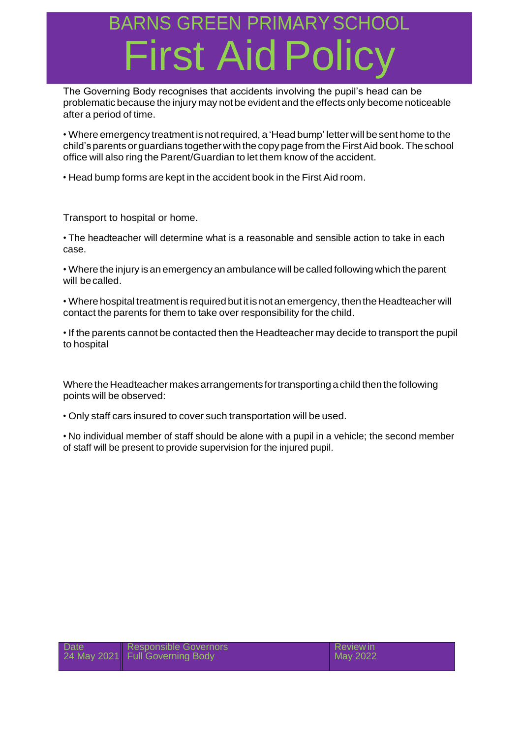The Governing Body recognises that accidents involving the pupil's head can be problematic because the injury may not be evident and the effects only become noticeable after a period of time.

• Where emergency treatment is notrequired, a 'Head bump' letter will be sent home to the child's parents or guardians together with the copy page from the First Aid book. The school office will also ring the Parent/Guardian to let them know of the accident.

• Head bump forms are kept in the accident book in the First Aid room.

Transport to hospital or home.

• The headteacher will determine what is a reasonable and sensible action to take in each case.

• Where the injury is an emergency an ambulance will be called following which the parent will becalled.

• Where hospital treatment is required but it is not an emergency, then the Headteacher will contact the parents for them to take over responsibility for the child.

• If the parents cannot be contacted then the Headteacher may decide to transport the pupil to hospital

Where the Headteacher makes arrangements for transporting a child then the following points will be observed:

• Only staff cars insured to cover such transportation will be used.

• No individual member of staff should be alone with a pupil in a vehicle; the second member of staff will be present to provide supervision for the injured pupil.